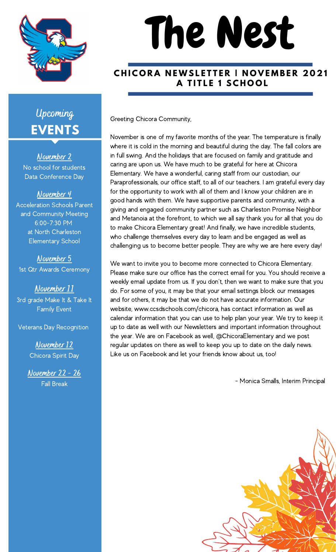

# The Nest

#### **CHICORA NEWSLETTER I NOVEMBER 2021 A T I T L E 1 S C H O O L**

Greeting Chicora Community,

November is one of my favorite months of the year. The temperature is finally where it is cold in the morning and beautiful during the day. The fall colors are in full swing. And the holidays that are focused on family and gratitude and caring are upon us. We have much to be grateful for here at Chicora Elementary. We have a wonderful, caring staff from our custodian, our Paraprofessionals, our office staff, to all of our teachers. I am grateful every day for the opportunity to work with all of them and I know your children are in good hands with them. We have supportive parents and community, with a giving and engaged community partner such as Charleston Promise Neighbor and Metanoia at the forefront, to which we all say thank you for all that you do to make Chicora Elementary great! And finally, we have incredible students, who challenge themselves every day to learn and be engaged as well as challenging us to become better people. They are why we are here every day!

We want to invite you to become more connected to Chicora Elementary. Please make sure our office has the correct email for you. You should receive a weekly email update from us. If you don't, then we want to make sure that you do. For some of you, it may be that your email settings block our messages and for others, it may be that we do not have accurate information. Our website, www.ccsdschools.com/chicora, has contact information as well as calendar information that you can use to help plan your year. We try to keep it up to date as well with our Newsletters and important information throughout the year. We are on Facebook as well, @ChicoraElementary and we post regular updates on there as well to keep you up to date on the daily news. Like us on Facebook and let your friends know about us, too!

- Monica Smalls, Interim Principal



# **EVENTS** Upcoming

November 2 No school for students Data Conference Day

#### November 4

Acceleration Schools Parent and Community Meeting 6:00-7:30 PM at North Charleston Elementary School

November 5 1st Qtr Awards Ceremony

November 11 3rd grade Make It & Take It Family Event

Veterans Day Recognition

November 12 Chicora Spirit Day

November 22 - 26 Fall Break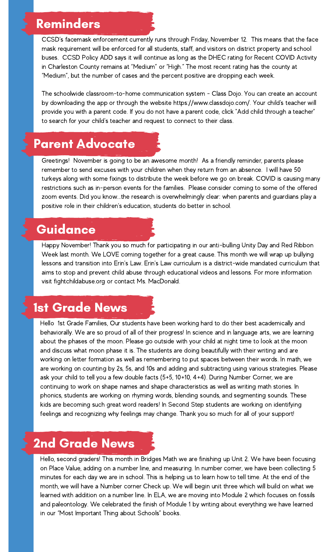#### Reminders

CCSD's facemask enforcement currently runs through Friday, November 12. This means that the face mask requirement will be enforced for all students, staff, and visitors on district property and school buses. CCSD Policy ADD says it will continue as long as the DHEC rating for Recent COVID Activity in Charleston County remains at "Medium" or "High." The most recent rating has the county at "Medium", but the number of cases and the percent positive are dropping each week.

The schoolwide classroom-to-home communication system - Class Dojo. You can create an account by downloading the app or through the website https://www.classdojo.com/. Your child's teacher will provide you with a parent code. If you do not have a parent code, click "Add child through a teacher" to search for your child's teacher and request to [connect](https://classdojo.zendesk.com/hc/en-us/articles/360050943651-How-Do-I-Request-to-Connect-to-My-Child-s-Teacher-#web) to their class.

#### Parent Advocate

Greetings! November is going to be an awesome month! As a friendly reminder, parents please remember to send excuses with your children when they return from an absence. I will have 50 turkeys along with some fixings to distribute the week before we go on break. COVID is causing many restrictions such as in-person events for the families. Please consider coming to some of the offered zoom events. Did you know...the research is overwhelmingly clear: when parents and guardians play a positive role in their children's education, students do better in school.

#### Guidance

Happy November! Thank you so much for participating in our anti-bulling Unity Day and Red Ribbon Week last month. We LOVE coming together for a great cause. This month we will wrap up bullying lessons and transition into Erin's Law. Erin's Law curriculum is a district-wide mandated curriculum that aims to stop and prevent child abuse through educational videos and lessons. For more information visit fightchildabuse.org or contact Ms. MacDonald.

## 1st Grade News

Hello 1st Grade Families, Our students have been working hard to do their best academically and behaviorally. We are so proud of all of their progress! In science and in language arts, we are learning about the phases of the moon. Please go outside with your child at night time to look at the moon and discuss what moon phase it is. The students are doing beautifully with their writing and are working on letter formation as well as remembering to put spaces between their words. In math, we are working on counting by 2s, 5s, and 10s and adding and subtracting using various strategies. Please ask your child to tell you a few double facts (5+5, 10+10, 4+4). During Number Corner, we are continuing to work on shape names and shape characteristics as well as writing math stories. In phonics, students are working on rhyming words, blending sounds, and segmenting sounds. These kids are becoming such great word readers! In Second Step students are working on identifying feelings and recognizing why feelings may change. Thank you so much for all of your support!

### 2nd Grade News

Hello, second graders! This month in Bridges Math we are finishing up Unit 2. We have been focusing on Place Value, adding on a number line, and measuring. In number corner, we have been collecting 5 minutes for each day we are in school. This is helping us to learn how to tell time. At the end of the month, we will have a Number corner Check up. We will begin unit three which will build on what we learned with addition on a number line. In ELA, we are moving into Module 2 which focuses on fossils and paleontology. We celebrated the finish of Module 1 by writing about everything we have learned in our "Most Important Thing about Schools" books.